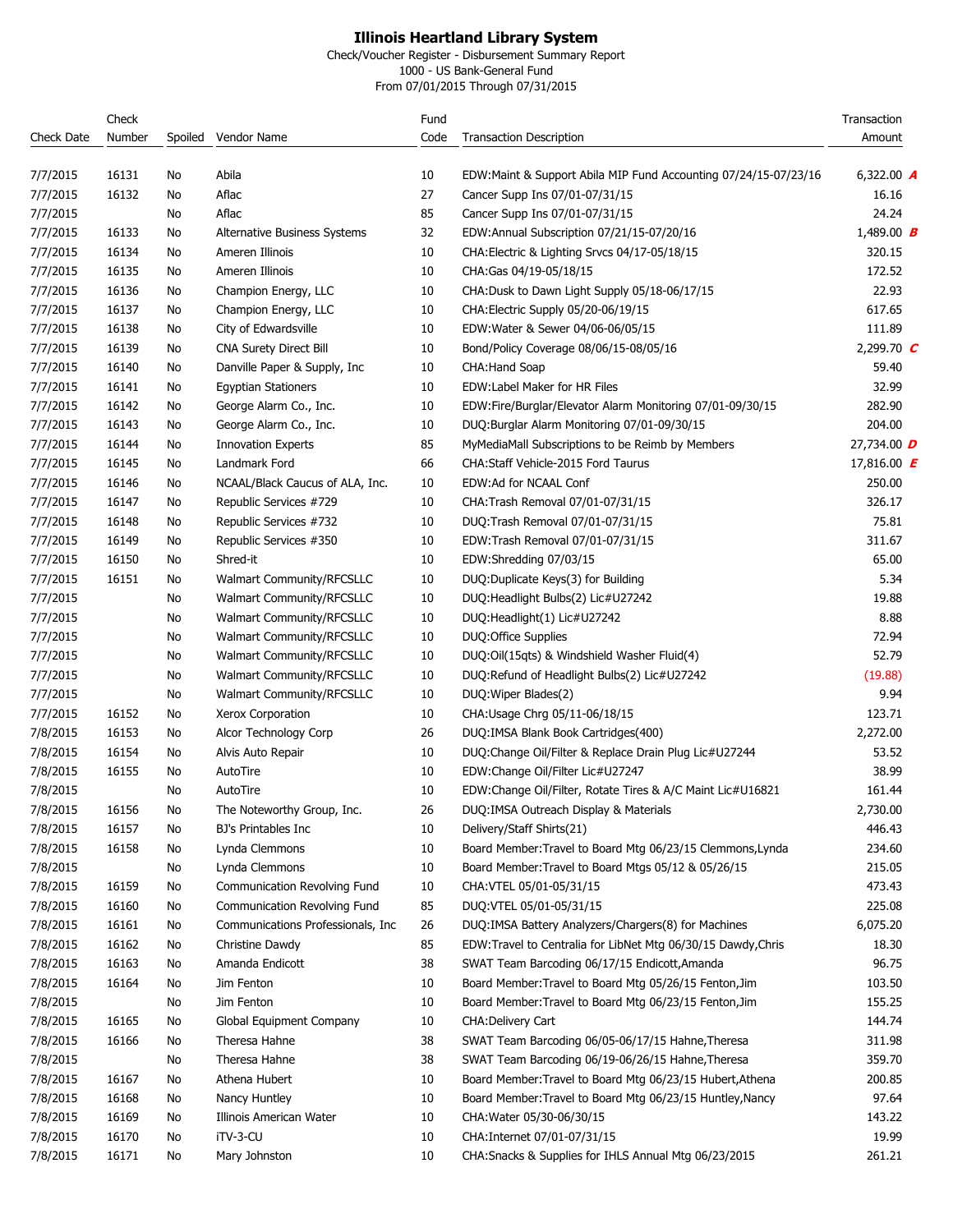Check/Voucher Register - Disbursement Summary Report

1000 - US Bank-General Fund From 07/01/2015 Through 07/31/2015

|                   | Check  |         |                                    | Fund |                                                                 | Transaction                          |
|-------------------|--------|---------|------------------------------------|------|-----------------------------------------------------------------|--------------------------------------|
| <b>Check Date</b> | Number | Spoiled | Vendor Name                        | Code | <b>Transaction Description</b>                                  | Amount                               |
| 7/7/2015          | 16131  | No      | Abila                              | 10   | EDW:Maint & Support Abila MIP Fund Accounting 07/24/15-07/23/16 | 6,322.00 $\bm{A}$                    |
| 7/7/2015          | 16132  | No      | Aflac                              | 27   | Cancer Supp Ins 07/01-07/31/15                                  | 16.16                                |
| 7/7/2015          |        | No      | Aflac                              | 85   | Cancer Supp Ins 07/01-07/31/15                                  | 24.24                                |
| 7/7/2015          | 16133  | No      | Alternative Business Systems       | 32   | EDW:Annual Subscription 07/21/15-07/20/16                       | 1,489.00 <b>B</b>                    |
| 7/7/2015          | 16134  | No      | Ameren Illinois                    | 10   | CHA: Electric & Lighting Srvcs 04/17-05/18/15                   | 320.15                               |
| 7/7/2015          | 16135  | No      | Ameren Illinois                    | 10   | CHA:Gas 04/19-05/18/15                                          | 172.52                               |
| 7/7/2015          | 16136  | No      | Champion Energy, LLC               | 10   | CHA:Dusk to Dawn Light Supply 05/18-06/17/15                    | 22.93                                |
| 7/7/2015          | 16137  | No      | Champion Energy, LLC               | 10   | CHA: Electric Supply 05/20-06/19/15                             | 617.65                               |
| 7/7/2015          | 16138  | No      | City of Edwardsville               | 10   | EDW: Water & Sewer 04/06-06/05/15                               | 111.89                               |
| 7/7/2015          | 16139  | No      | <b>CNA Surety Direct Bill</b>      | 10   | Bond/Policy Coverage 08/06/15-08/05/16                          | 2,299.70 $C$                         |
| 7/7/2015          | 16140  | No      | Danville Paper & Supply, Inc.      | 10   | <b>CHA:Hand Soap</b>                                            | 59.40                                |
| 7/7/2015          | 16141  | No      | <b>Egyptian Stationers</b>         | 10   | EDW: Label Maker for HR Files                                   | 32.99                                |
| 7/7/2015          | 16142  | No      | George Alarm Co., Inc.             | 10   | EDW:Fire/Burglar/Elevator Alarm Monitoring 07/01-09/30/15       | 282.90                               |
| 7/7/2015          | 16143  | No      | George Alarm Co., Inc.             | 10   | DUQ:Burglar Alarm Monitoring 07/01-09/30/15                     | 204.00                               |
| 7/7/2015          | 16144  | No      | <b>Innovation Experts</b>          | 85   | MyMediaMall Subscriptions to be Reimb by Members                | 27,734.00 D                          |
| 7/7/2015          | 16145  | No      | Landmark Ford                      | 66   | CHA: Staff Vehicle-2015 Ford Taurus                             | 17,816.00 <b><math>\bm{F}</math></b> |
| 7/7/2015          | 16146  | No      | NCAAL/Black Caucus of ALA, Inc.    | 10   | EDW:Ad for NCAAL Conf                                           | 250.00                               |
| 7/7/2015          | 16147  | No      | Republic Services #729             | 10   | CHA: Trash Removal 07/01-07/31/15                               | 326.17                               |
| 7/7/2015          | 16148  | No      | Republic Services #732             | 10   | DUQ:Trash Removal 07/01-07/31/15                                | 75.81                                |
| 7/7/2015          | 16149  | No      | Republic Services #350             | 10   | EDW:Trash Removal 07/01-07/31/15                                | 311.67                               |
| 7/7/2015          | 16150  | No      | Shred-it                           | 10   | EDW:Shredding 07/03/15                                          | 65.00                                |
| 7/7/2015          | 16151  | No      | Walmart Community/RFCSLLC          | 10   | DUQ:Duplicate Keys(3) for Building                              | 5.34                                 |
| 7/7/2015          |        | No      | Walmart Community/RFCSLLC          | 10   | DUQ:Headlight Bulbs(2) Lic#U27242                               | 19.88                                |
| 7/7/2015          |        | No      | Walmart Community/RFCSLLC          | 10   | DUQ:Headlight(1) Lic#U27242                                     | 8.88                                 |
| 7/7/2015          |        | No      | Walmart Community/RFCSLLC          | 10   | DUQ: Office Supplies                                            | 72.94                                |
| 7/7/2015          |        | No      | Walmart Community/RFCSLLC          | 10   | DUQ:Oil(15qts) & Windshield Washer Fluid(4)                     | 52.79                                |
| 7/7/2015          |        | No      | Walmart Community/RFCSLLC          | 10   | DUQ:Refund of Headlight Bulbs(2) Lic#U27242                     | (19.88)                              |
| 7/7/2015          |        | No      | Walmart Community/RFCSLLC          | 10   | DUQ: Wiper Blades(2)                                            | 9.94                                 |
| 7/7/2015          | 16152  | No      | Xerox Corporation                  | 10   | CHA: Usage Chrg 05/11-06/18/15                                  | 123.71                               |
| 7/8/2015          | 16153  | No      | Alcor Technology Corp              | 26   | DUQ:IMSA Blank Book Cartridges(400)                             | 2,272.00                             |
| 7/8/2015          | 16154  | No      | Alvis Auto Repair                  | 10   | DUQ: Change Oil/Filter & Replace Drain Plug Lic#U27244          | 53.52                                |
| 7/8/2015          | 16155  | No      | AutoTire                           | 10   | EDW:Change Oil/Filter Lic#U27247                                | 38.99                                |
| 7/8/2015          |        | No      | AutoTire                           | 10   | EDW:Change Oil/Filter, Rotate Tires & A/C Maint Lic#U16821      | 161.44                               |
| 7/8/2015          | 16156  | No      | The Noteworthy Group, Inc.         | 26   | DUQ:IMSA Outreach Display & Materials                           | 2,730.00                             |
| 7/8/2015          | 16157  | No      | BJ's Printables Inc                | 10   | Delivery/Staff Shirts(21)                                       | 446.43                               |
| 7/8/2015          | 16158  | No      | Lynda Clemmons                     | 10   | Board Member: Travel to Board Mtg 06/23/15 Clemmons, Lynda      | 234.60                               |
| 7/8/2015          |        | No      | Lynda Clemmons                     | 10   | Board Member: Travel to Board Mtgs 05/12 & 05/26/15             | 215.05                               |
| 7/8/2015          | 16159  | No      | Communication Revolving Fund       | 10   | CHA: VTEL 05/01-05/31/15                                        | 473.43                               |
| 7/8/2015          | 16160  | No      | Communication Revolving Fund       | 85   | DUQ:VTEL 05/01-05/31/15                                         | 225.08                               |
| 7/8/2015          | 16161  | No      | Communications Professionals, Inc. | 26   | DUQ:IMSA Battery Analyzers/Chargers(8) for Machines             | 6,075.20                             |
| 7/8/2015          | 16162  | No      | Christine Dawdy                    | 85   | EDW:Travel to Centralia for LibNet Mtg 06/30/15 Dawdy, Chris    | 18.30                                |
| 7/8/2015          | 16163  | No      | Amanda Endicott                    | 38   | SWAT Team Barcoding 06/17/15 Endicott, Amanda                   | 96.75                                |
| 7/8/2015          | 16164  | No      | Jim Fenton                         | 10   | Board Member: Travel to Board Mtg 05/26/15 Fenton, Jim          | 103.50                               |
| 7/8/2015          |        | No      | Jim Fenton                         | 10   | Board Member: Travel to Board Mtg 06/23/15 Fenton, Jim          | 155.25                               |
| 7/8/2015          | 16165  | No      | Global Equipment Company           | 10   | <b>CHA:Delivery Cart</b>                                        | 144.74                               |
| 7/8/2015          | 16166  | No      | Theresa Hahne                      | 38   | SWAT Team Barcoding 06/05-06/17/15 Hahne, Theresa               | 311.98                               |
| 7/8/2015          |        | No      | Theresa Hahne                      | 38   | SWAT Team Barcoding 06/19-06/26/15 Hahne, Theresa               | 359.70                               |
| 7/8/2015          | 16167  | No      | Athena Hubert                      | 10   | Board Member: Travel to Board Mtg 06/23/15 Hubert, Athena       | 200.85                               |
| 7/8/2015          | 16168  | No      | Nancy Huntley                      | 10   | Board Member: Travel to Board Mtg 06/23/15 Huntley, Nancy       | 97.64                                |
| 7/8/2015          | 16169  | No      | Illinois American Water            | 10   | CHA: Water 05/30-06/30/15                                       | 143.22                               |
| 7/8/2015          | 16170  | No      | iTV-3-CU                           | 10   | CHA: Internet 07/01-07/31/15                                    | 19.99                                |
| 7/8/2015          | 16171  | No      | Mary Johnston                      | 10   | CHA: Snacks & Supplies for IHLS Annual Mtg 06/23/2015           | 261.21                               |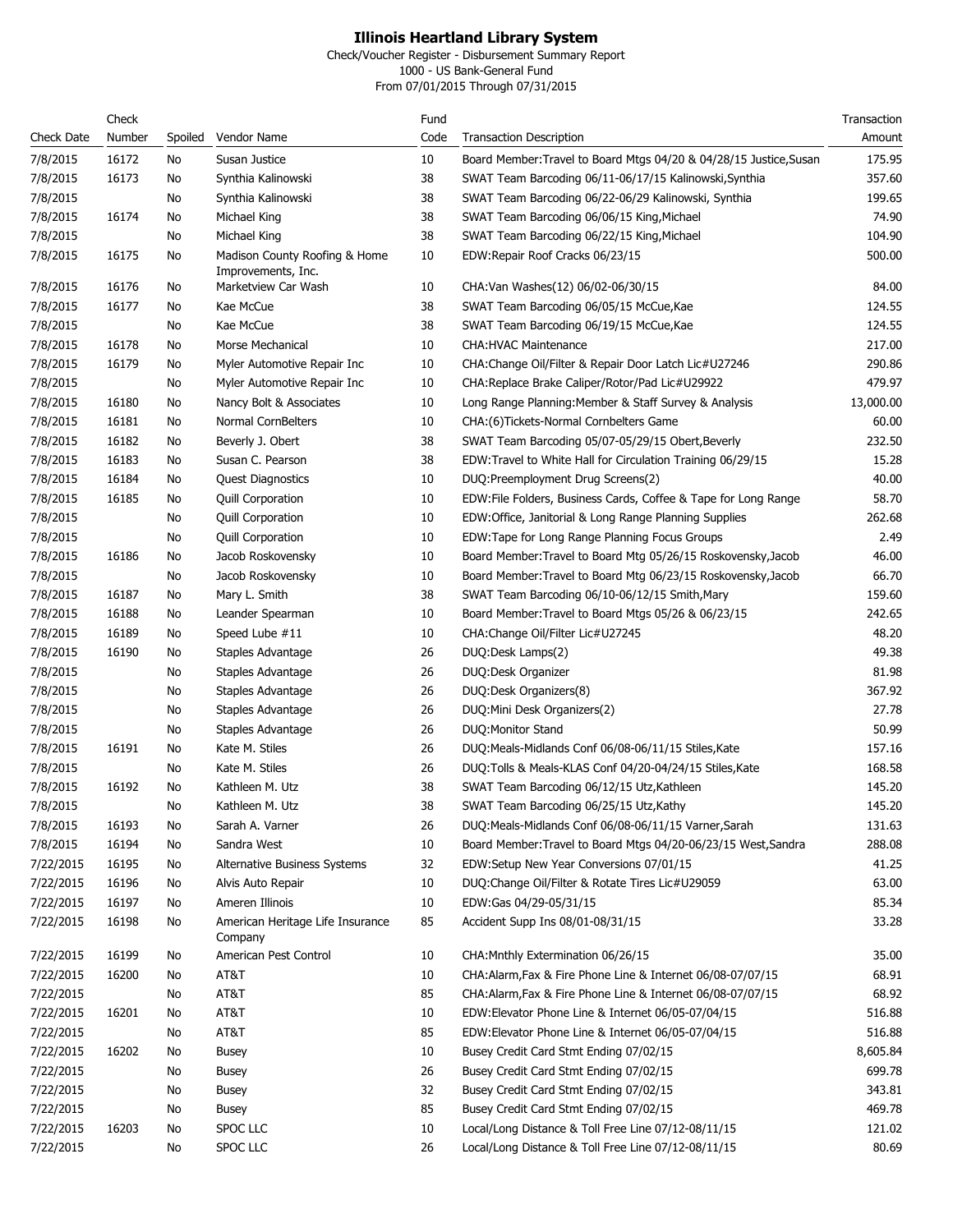Check/Voucher Register - Disbursement Summary Report

1000 - US Bank-General Fund From 07/01/2015 Through 07/31/2015

|                   | Check  |         |                                             | Fund |                                                                    | Transaction |
|-------------------|--------|---------|---------------------------------------------|------|--------------------------------------------------------------------|-------------|
| <b>Check Date</b> | Number | Spoiled | Vendor Name                                 | Code | <b>Transaction Description</b>                                     | Amount      |
| 7/8/2015          | 16172  | No      | Susan Justice                               | 10   | Board Member: Travel to Board Mtgs 04/20 & 04/28/15 Justice, Susan | 175.95      |
| 7/8/2015          | 16173  | No      | Synthia Kalinowski                          | 38   | SWAT Team Barcoding 06/11-06/17/15 Kalinowski, Synthia             | 357.60      |
| 7/8/2015          |        | No      | Synthia Kalinowski                          | 38   | SWAT Team Barcoding 06/22-06/29 Kalinowski, Synthia                | 199.65      |
| 7/8/2015          | 16174  | No      | Michael King                                | 38   | SWAT Team Barcoding 06/06/15 King, Michael                         | 74.90       |
| 7/8/2015          |        | No      | Michael King                                | 38   | SWAT Team Barcoding 06/22/15 King, Michael                         | 104.90      |
| 7/8/2015          | 16175  | No      | Madison County Roofing & Home               | 10   | EDW: Repair Roof Cracks 06/23/15                                   | 500.00      |
|                   |        |         | Improvements, Inc.                          |      |                                                                    |             |
| 7/8/2015          | 16176  | No      | Marketview Car Wash                         | 10   | CHA: Van Washes (12) 06/02-06/30/15                                | 84.00       |
| 7/8/2015          | 16177  | No      | Kae McCue                                   | 38   | SWAT Team Barcoding 06/05/15 McCue, Kae                            | 124.55      |
| 7/8/2015          |        | No      | Kae McCue                                   | 38   | SWAT Team Barcoding 06/19/15 McCue, Kae                            | 124.55      |
| 7/8/2015          | 16178  | No      | Morse Mechanical                            | 10   | <b>CHA: HVAC Maintenance</b>                                       | 217.00      |
| 7/8/2015          | 16179  | No      | Myler Automotive Repair Inc                 | 10   | CHA:Change Oil/Filter & Repair Door Latch Lic#U27246               | 290.86      |
| 7/8/2015          |        | No      | Myler Automotive Repair Inc                 | 10   | CHA:Replace Brake Caliper/Rotor/Pad Lic#U29922                     | 479.97      |
| 7/8/2015          | 16180  | No      | Nancy Bolt & Associates                     | 10   | Long Range Planning: Member & Staff Survey & Analysis              | 13,000.00   |
| 7/8/2015          | 16181  | No      | Normal CornBelters                          | 10   | CHA:(6)Tickets-Normal Cornbelters Game                             | 60.00       |
| 7/8/2015          | 16182  | No      | Beverly J. Obert                            | 38   | SWAT Team Barcoding 05/07-05/29/15 Obert, Beverly                  | 232.50      |
| 7/8/2015          | 16183  | No      | Susan C. Pearson                            | 38   | EDW: Travel to White Hall for Circulation Training 06/29/15        | 15.28       |
| 7/8/2015          | 16184  | No      | <b>Quest Diagnostics</b>                    | 10   | DUQ:Preemployment Drug Screens(2)                                  | 40.00       |
| 7/8/2015          | 16185  | No      | <b>Quill Corporation</b>                    | 10   | EDW: File Folders, Business Cards, Coffee & Tape for Long Range    | 58.70       |
| 7/8/2015          |        | No      | <b>Quill Corporation</b>                    | 10   | EDW:Office, Janitorial & Long Range Planning Supplies              | 262.68      |
| 7/8/2015          |        | No      | <b>Quill Corporation</b>                    | 10   | EDW:Tape for Long Range Planning Focus Groups                      | 2.49        |
| 7/8/2015          | 16186  | No      | Jacob Roskovensky                           | 10   | Board Member: Travel to Board Mtg 05/26/15 Roskovensky, Jacob      | 46.00       |
| 7/8/2015          |        | No      | Jacob Roskovensky                           | 10   | Board Member: Travel to Board Mtg 06/23/15 Roskovensky, Jacob      | 66.70       |
| 7/8/2015          | 16187  | No      | Mary L. Smith                               | 38   | SWAT Team Barcoding 06/10-06/12/15 Smith, Mary                     | 159.60      |
| 7/8/2015          | 16188  | No      | Leander Spearman                            | 10   | Board Member: Travel to Board Mtgs 05/26 & 06/23/15                | 242.65      |
| 7/8/2015          | 16189  | No      | Speed Lube #11                              | 10   | CHA: Change Oil/Filter Lic#U27245                                  | 48.20       |
| 7/8/2015          | 16190  | No      | Staples Advantage                           | 26   | DUQ:Desk Lamps(2)                                                  | 49.38       |
| 7/8/2015          |        | No      | Staples Advantage                           | 26   | DUQ:Desk Organizer                                                 | 81.98       |
| 7/8/2015          |        | No      | Staples Advantage                           | 26   | DUQ:Desk Organizers(8)                                             | 367.92      |
| 7/8/2015          |        | No      | Staples Advantage                           | 26   | DUQ:Mini Desk Organizers(2)                                        | 27.78       |
| 7/8/2015          |        | No      | Staples Advantage                           | 26   | DUQ: Monitor Stand                                                 | 50.99       |
| 7/8/2015          | 16191  | No      | Kate M. Stiles                              | 26   | DUQ:Meals-Midlands Conf 06/08-06/11/15 Stiles, Kate                | 157.16      |
| 7/8/2015          |        | No      | Kate M. Stiles                              | 26   | DUQ:Tolls & Meals-KLAS Conf 04/20-04/24/15 Stiles, Kate            | 168.58      |
| 7/8/2015          | 16192  | No      | Kathleen M. Utz                             | 38   | SWAT Team Barcoding 06/12/15 Utz, Kathleen                         | 145.20      |
| 7/8/2015          |        | No      | Kathleen M. Utz                             | 38   | SWAT Team Barcoding 06/25/15 Utz, Kathy                            | 145.20      |
| 7/8/2015          | 16193  | No      | Sarah A. Varner                             | 26   | DUQ:Meals-Midlands Conf 06/08-06/11/15 Varner, Sarah               | 131.63      |
| 7/8/2015          | 16194  | No      | Sandra West                                 | 10   | Board Member: Travel to Board Mtgs 04/20-06/23/15 West, Sandra     | 288.08      |
| 7/22/2015         | 16195  | No      | Alternative Business Systems                | 32   | EDW: Setup New Year Conversions 07/01/15                           | 41.25       |
| 7/22/2015         | 16196  | No      | Alvis Auto Repair                           | 10   | DUQ: Change Oil/Filter & Rotate Tires Lic#U29059                   | 63.00       |
| 7/22/2015         | 16197  | No      | Ameren Illinois                             | 10   | EDW:Gas 04/29-05/31/15                                             | 85.34       |
| 7/22/2015         | 16198  | No      | American Heritage Life Insurance<br>Company | 85   | Accident Supp Ins 08/01-08/31/15                                   | 33.28       |
| 7/22/2015         | 16199  | No      | American Pest Control                       | 10   | CHA: Mnthly Extermination 06/26/15                                 | 35.00       |
| 7/22/2015         | 16200  | No      | AT&T                                        | 10   | CHA:Alarm, Fax & Fire Phone Line & Internet 06/08-07/07/15         | 68.91       |
| 7/22/2015         |        | No      | AT&T                                        | 85   | CHA:Alarm, Fax & Fire Phone Line & Internet 06/08-07/07/15         | 68.92       |
| 7/22/2015         | 16201  | No      | AT&T                                        | 10   | EDW:Elevator Phone Line & Internet 06/05-07/04/15                  | 516.88      |
| 7/22/2015         |        | No      | AT&T                                        | 85   | EDW:Elevator Phone Line & Internet 06/05-07/04/15                  | 516.88      |
| 7/22/2015         | 16202  | No      | Busey                                       | 10   | Busey Credit Card Stmt Ending 07/02/15                             | 8,605.84    |
| 7/22/2015         |        | No      | Busey                                       | 26   | Busey Credit Card Stmt Ending 07/02/15                             | 699.78      |
| 7/22/2015         |        | No      | Busey                                       | 32   | Busey Credit Card Stmt Ending 07/02/15                             | 343.81      |
| 7/22/2015         |        | No      | Busey                                       | 85   | Busey Credit Card Stmt Ending 07/02/15                             | 469.78      |
| 7/22/2015         | 16203  | No      | SPOC LLC                                    | 10   | Local/Long Distance & Toll Free Line 07/12-08/11/15                | 121.02      |
| 7/22/2015         |        | No      | SPOC LLC                                    | 26   | Local/Long Distance & Toll Free Line 07/12-08/11/15                | 80.69       |
|                   |        |         |                                             |      |                                                                    |             |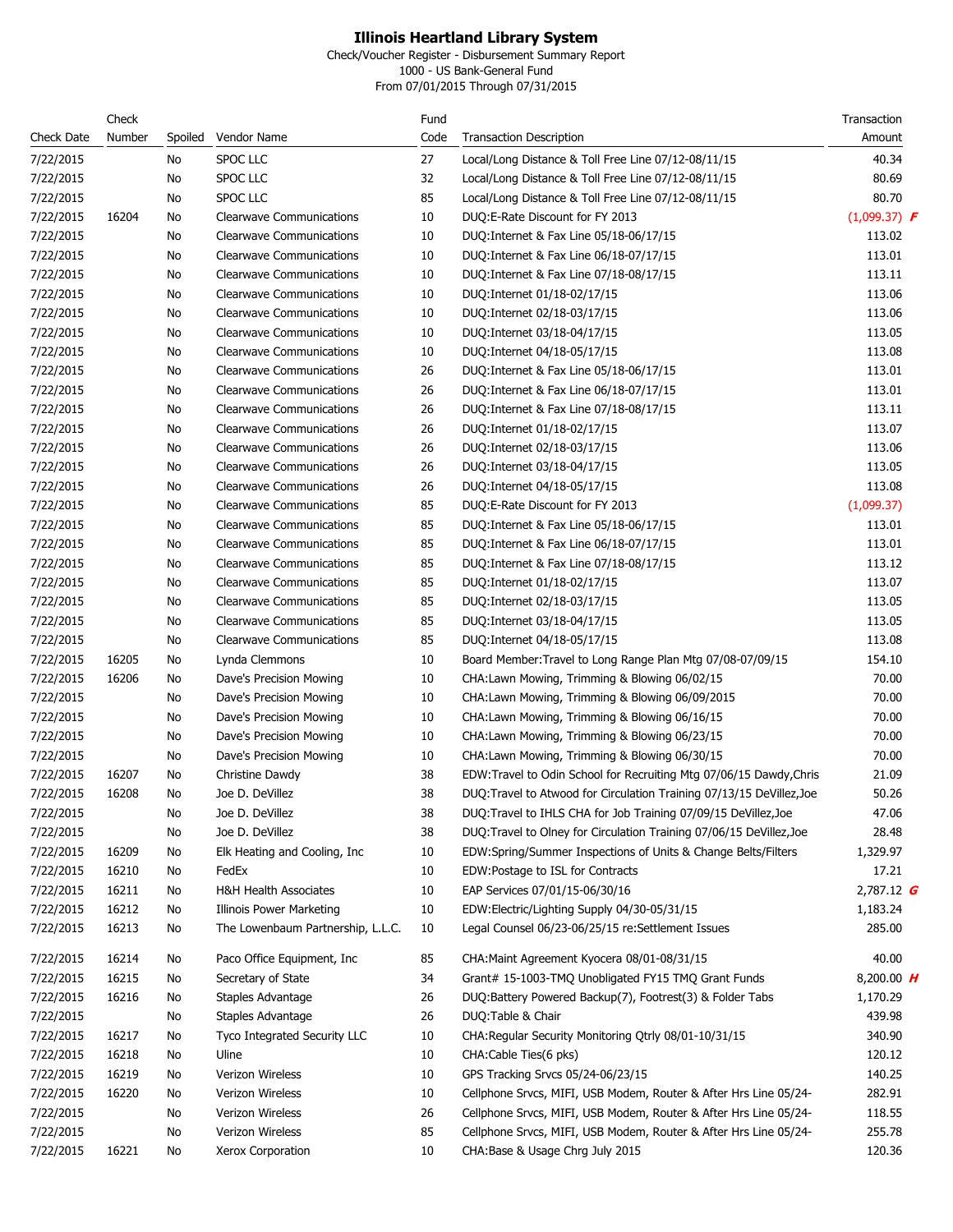Check/Voucher Register - Disbursement Summary Report

1000 - US Bank-General Fund From 07/01/2015 Through 07/31/2015

|                   | Check  |         |                                   | Fund |                                                                       | Transaction    |
|-------------------|--------|---------|-----------------------------------|------|-----------------------------------------------------------------------|----------------|
| <b>Check Date</b> | Number | Spoiled | Vendor Name                       | Code | <b>Transaction Description</b>                                        | Amount         |
| 7/22/2015         |        | No      | SPOC LLC                          | 27   | Local/Long Distance & Toll Free Line 07/12-08/11/15                   | 40.34          |
| 7/22/2015         |        | No      | <b>SPOC LLC</b>                   | 32   | Local/Long Distance & Toll Free Line 07/12-08/11/15                   | 80.69          |
| 7/22/2015         |        | No      | <b>SPOC LLC</b>                   | 85   | Local/Long Distance & Toll Free Line 07/12-08/11/15                   | 80.70          |
| 7/22/2015         | 16204  | No      | <b>Clearwave Communications</b>   | 10   | DUQ:E-Rate Discount for FY 2013                                       | $(1,099.37)$ F |
| 7/22/2015         |        | No      | <b>Clearwave Communications</b>   | 10   | DUQ: Internet & Fax Line 05/18-06/17/15                               | 113.02         |
| 7/22/2015         |        | No      | <b>Clearwave Communications</b>   | 10   | DUQ: Internet & Fax Line 06/18-07/17/15                               | 113.01         |
| 7/22/2015         |        | No      | Clearwave Communications          | 10   | DUQ: Internet & Fax Line 07/18-08/17/15                               | 113.11         |
| 7/22/2015         |        | No      | <b>Clearwave Communications</b>   | 10   | DUQ: Internet 01/18-02/17/15                                          | 113.06         |
| 7/22/2015         |        | No      | <b>Clearwave Communications</b>   | 10   | DUQ:Internet 02/18-03/17/15                                           | 113.06         |
| 7/22/2015         |        | No      | <b>Clearwave Communications</b>   | 10   | DUQ: Internet 03/18-04/17/15                                          | 113.05         |
| 7/22/2015         |        | No      | <b>Clearwave Communications</b>   | 10   | DUQ: Internet 04/18-05/17/15                                          | 113.08         |
| 7/22/2015         |        | No      | <b>Clearwave Communications</b>   | 26   | DUQ: Internet & Fax Line 05/18-06/17/15                               | 113.01         |
| 7/22/2015         |        | No      | <b>Clearwave Communications</b>   | 26   | DUQ: Internet & Fax Line 06/18-07/17/15                               | 113.01         |
| 7/22/2015         |        | No      | <b>Clearwave Communications</b>   | 26   | DUQ: Internet & Fax Line 07/18-08/17/15                               | 113.11         |
| 7/22/2015         |        | No      | <b>Clearwave Communications</b>   | 26   | DUQ: Internet 01/18-02/17/15                                          | 113.07         |
| 7/22/2015         |        | No      | <b>Clearwave Communications</b>   | 26   | DUQ:Internet 02/18-03/17/15                                           | 113.06         |
| 7/22/2015         |        | No      | <b>Clearwave Communications</b>   | 26   | DUQ:Internet 03/18-04/17/15                                           | 113.05         |
| 7/22/2015         |        | No      | <b>Clearwave Communications</b>   | 26   | DUQ:Internet 04/18-05/17/15                                           | 113.08         |
| 7/22/2015         |        | No      | <b>Clearwave Communications</b>   | 85   | DUQ: E-Rate Discount for FY 2013                                      | (1,099.37)     |
| 7/22/2015         |        | No      | <b>Clearwave Communications</b>   | 85   | DUQ: Internet & Fax Line 05/18-06/17/15                               | 113.01         |
| 7/22/2015         |        | No      | <b>Clearwave Communications</b>   | 85   | DUQ: Internet & Fax Line 06/18-07/17/15                               | 113.01         |
| 7/22/2015         |        | No      | <b>Clearwave Communications</b>   | 85   | DUQ: Internet & Fax Line 07/18-08/17/15                               | 113.12         |
| 7/22/2015         |        | No      | <b>Clearwave Communications</b>   | 85   | DUQ: Internet 01/18-02/17/15                                          | 113.07         |
| 7/22/2015         |        | No      | <b>Clearwave Communications</b>   | 85   | DUQ:Internet 02/18-03/17/15                                           | 113.05         |
| 7/22/2015         |        | No      | <b>Clearwave Communications</b>   | 85   | DUQ:Internet 03/18-04/17/15                                           | 113.05         |
| 7/22/2015         |        | No      | <b>Clearwave Communications</b>   | 85   | DUQ:Internet 04/18-05/17/15                                           | 113.08         |
| 7/22/2015         | 16205  | No      | Lynda Clemmons                    | 10   | Board Member: Travel to Long Range Plan Mtg 07/08-07/09/15            | 154.10         |
| 7/22/2015         | 16206  | No      | Dave's Precision Mowing           | 10   | CHA:Lawn Mowing, Trimming & Blowing 06/02/15                          | 70.00          |
| 7/22/2015         |        | No      | Dave's Precision Mowing           | 10   | CHA:Lawn Mowing, Trimming & Blowing 06/09/2015                        | 70.00          |
| 7/22/2015         |        | No      | Dave's Precision Mowing           | 10   | CHA:Lawn Mowing, Trimming & Blowing 06/16/15                          | 70.00          |
| 7/22/2015         |        | No      | Dave's Precision Mowing           | 10   | CHA:Lawn Mowing, Trimming & Blowing 06/23/15                          | 70.00          |
| 7/22/2015         |        | No      | Dave's Precision Mowing           | 10   | CHA:Lawn Mowing, Trimming & Blowing 06/30/15                          | 70.00          |
| 7/22/2015         | 16207  | No      | Christine Dawdy                   | 38   | EDW:Travel to Odin School for Recruiting Mtg 07/06/15 Dawdy, Chris    | 21.09          |
| 7/22/2015         | 16208  | No      | Joe D. DeVillez                   | 38   | DUQ: Travel to Atwood for Circulation Training 07/13/15 DeVillez, Joe | 50.26          |
| 7/22/2015         |        | No      | Joe D. DeVillez                   | 38   | DUQ:Travel to IHLS CHA for Job Training 07/09/15 DeVillez, Joe        | 47.06          |
| 7/22/2015         |        | No      | Joe D. DeVillez                   | 38   | DUQ:Travel to Olney for Circulation Training 07/06/15 DeVillez, Joe   | 28.48          |
| 7/22/2015         | 16209  | No      | Elk Heating and Cooling, Inc.     | 10   | EDW:Spring/Summer Inspections of Units & Change Belts/Filters         | 1,329.97       |
| 7/22/2015         | 16210  | No      | FedEx                             | 10   | EDW:Postage to ISL for Contracts                                      | 17.21          |
| 7/22/2015         | 16211  | No      | <b>H&amp;H Health Associates</b>  | 10   | EAP Services 07/01/15-06/30/16                                        | 2,787.12 $G$   |
| 7/22/2015         | 16212  | No      | Illinois Power Marketing          | 10   | EDW:Electric/Lighting Supply 04/30-05/31/15                           | 1,183.24       |
| 7/22/2015         | 16213  | No      | The Lowenbaum Partnership, L.L.C. | 10   | Legal Counsel 06/23-06/25/15 re:Settlement Issues                     | 285.00         |
| 7/22/2015         | 16214  | No      | Paco Office Equipment, Inc.       | 85   | CHA: Maint Agreement Kyocera 08/01-08/31/15                           | 40.00          |
| 7/22/2015         | 16215  | No      | Secretary of State                | 34   | Grant# 15-1003-TMQ Unobligated FY15 TMQ Grant Funds                   | 8,200.00 $H$   |
| 7/22/2015         | 16216  | No      | Staples Advantage                 | 26   | DUQ:Battery Powered Backup(7), Footrest(3) & Folder Tabs              | 1,170.29       |
| 7/22/2015         |        | No      | Staples Advantage                 | 26   | DUQ:Table & Chair                                                     | 439.98         |
| 7/22/2015         | 16217  | No      | Tyco Integrated Security LLC      | 10   | CHA: Regular Security Monitoring Qtrly 08/01-10/31/15                 | 340.90         |
| 7/22/2015         | 16218  | No      | Uline                             | 10   | CHA:Cable Ties(6 pks)                                                 | 120.12         |
| 7/22/2015         | 16219  | No      | Verizon Wireless                  | 10   | GPS Tracking Srvcs 05/24-06/23/15                                     | 140.25         |
| 7/22/2015         | 16220  | No      | Verizon Wireless                  | 10   | Cellphone Srvcs, MIFI, USB Modem, Router & After Hrs Line 05/24-      | 282.91         |
| 7/22/2015         |        | No      | Verizon Wireless                  | 26   | Cellphone Srvcs, MIFI, USB Modem, Router & After Hrs Line 05/24-      | 118.55         |
| 7/22/2015         |        | No      | Verizon Wireless                  | 85   | Cellphone Srvcs, MIFI, USB Modem, Router & After Hrs Line 05/24-      | 255.78         |
| 7/22/2015         | 16221  | No      | Xerox Corporation                 | 10   | CHA:Base & Usage Chrg July 2015                                       | 120.36         |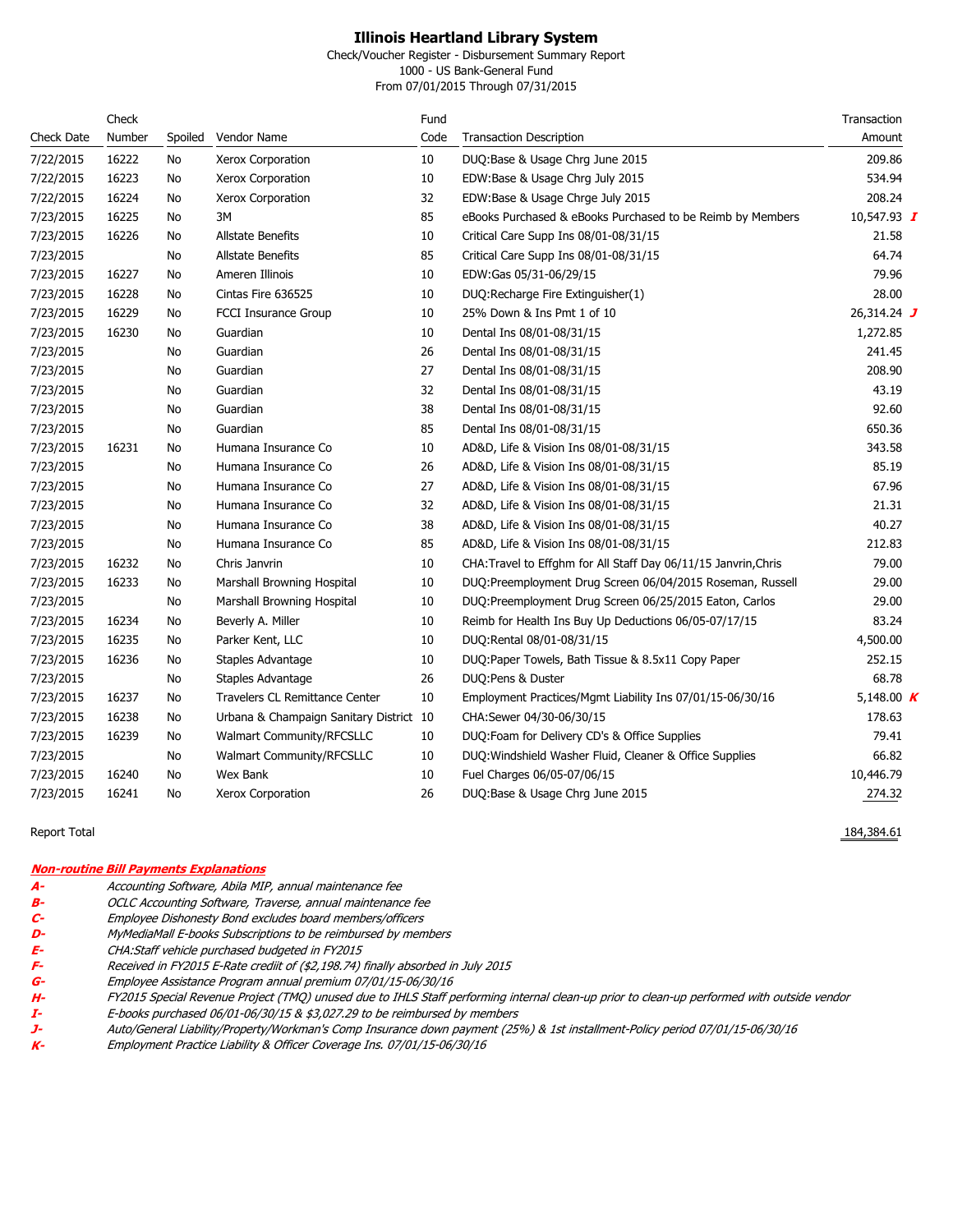Check/Voucher Register - Disbursement Summary Report

1000 - US Bank-General Fund From 07/01/2015 Through 07/31/2015

|            | Check  |         |                                         | Fund |                                                                 | Transaction   |
|------------|--------|---------|-----------------------------------------|------|-----------------------------------------------------------------|---------------|
| Check Date | Number | Spoiled | Vendor Name                             | Code | <b>Transaction Description</b>                                  | Amount        |
| 7/22/2015  | 16222  | No      | Xerox Corporation                       | 10   | DUQ:Base & Usage Chrg June 2015                                 | 209.86        |
| 7/22/2015  | 16223  | No      | Xerox Corporation                       | 10   | EDW:Base & Usage Chrg July 2015                                 | 534.94        |
| 7/22/2015  | 16224  | No      | Xerox Corporation                       | 32   | EDW:Base & Usage Chrge July 2015                                | 208.24        |
| 7/23/2015  | 16225  | No      | 3M                                      | 85   | eBooks Purchased & eBooks Purchased to be Reimb by Members      | 10,547.93 $I$ |
| 7/23/2015  | 16226  | No      | <b>Allstate Benefits</b>                | 10   | Critical Care Supp Ins 08/01-08/31/15                           | 21.58         |
| 7/23/2015  |        | No      | <b>Allstate Benefits</b>                | 85   | Critical Care Supp Ins 08/01-08/31/15                           | 64.74         |
| 7/23/2015  | 16227  | No      | Ameren Illinois                         | 10   | EDW:Gas 05/31-06/29/15                                          | 79.96         |
| 7/23/2015  | 16228  | No      | Cintas Fire 636525                      | 10   | DUQ:Recharge Fire Extinguisher(1)                               | 28.00         |
| 7/23/2015  | 16229  | No      | <b>FCCI Insurance Group</b>             | 10   | 25% Down & Ins Pmt 1 of 10                                      | 26,314.24 J   |
| 7/23/2015  | 16230  | No      | Guardian                                | 10   | Dental Ins 08/01-08/31/15                                       | 1,272.85      |
| 7/23/2015  |        | No      | Guardian                                | 26   | Dental Ins 08/01-08/31/15                                       | 241.45        |
| 7/23/2015  |        | No      | Guardian                                | 27   | Dental Ins 08/01-08/31/15                                       | 208.90        |
| 7/23/2015  |        | No      | Guardian                                | 32   | Dental Ins 08/01-08/31/15                                       | 43.19         |
| 7/23/2015  |        | No      | Guardian                                | 38   | Dental Ins 08/01-08/31/15                                       | 92.60         |
| 7/23/2015  |        | No      | Guardian                                | 85   | Dental Ins 08/01-08/31/15                                       | 650.36        |
| 7/23/2015  | 16231  | No      | Humana Insurance Co                     | 10   | AD&D, Life & Vision Ins 08/01-08/31/15                          | 343.58        |
| 7/23/2015  |        | No      | Humana Insurance Co                     | 26   | AD&D, Life & Vision Ins 08/01-08/31/15                          | 85.19         |
| 7/23/2015  |        | No      | Humana Insurance Co                     | 27   | AD&D, Life & Vision Ins 08/01-08/31/15                          | 67.96         |
| 7/23/2015  |        | No      | Humana Insurance Co                     | 32   | AD&D, Life & Vision Ins 08/01-08/31/15                          | 21.31         |
| 7/23/2015  |        | No      | Humana Insurance Co                     | 38   | AD&D, Life & Vision Ins 08/01-08/31/15                          | 40.27         |
| 7/23/2015  |        | No      | Humana Insurance Co                     | 85   | AD&D, Life & Vision Ins 08/01-08/31/15                          | 212.83        |
| 7/23/2015  | 16232  | No      | Chris Janvrin                           | 10   | CHA: Travel to Effghm for All Staff Day 06/11/15 Janvrin, Chris | 79.00         |
| 7/23/2015  | 16233  | No      | Marshall Browning Hospital              | 10   | DUQ:Preemployment Drug Screen 06/04/2015 Roseman, Russell       | 29.00         |
| 7/23/2015  |        | No      | Marshall Browning Hospital              | 10   | DUQ:Preemployment Drug Screen 06/25/2015 Eaton, Carlos          | 29.00         |
| 7/23/2015  | 16234  | No      | Beverly A. Miller                       | 10   | Reimb for Health Ins Buy Up Deductions 06/05-07/17/15           | 83.24         |
| 7/23/2015  | 16235  | No      | Parker Kent, LLC                        | 10   | DUQ:Rental 08/01-08/31/15                                       | 4,500.00      |
| 7/23/2015  | 16236  | No      | Staples Advantage                       | 10   | DUQ:Paper Towels, Bath Tissue & 8.5x11 Copy Paper               | 252.15        |
| 7/23/2015  |        | No      | Staples Advantage                       | 26   | DUQ:Pens & Duster                                               | 68.78         |
| 7/23/2015  | 16237  | No      | Travelers CL Remittance Center          | 10   | Employment Practices/Mgmt Liability Ins 07/01/15-06/30/16       | 5,148.00 $K$  |
| 7/23/2015  | 16238  | No      | Urbana & Champaign Sanitary District 10 |      | CHA:Sewer 04/30-06/30/15                                        | 178.63        |
| 7/23/2015  | 16239  | No      | Walmart Community/RFCSLLC               | 10   | DUQ:Foam for Delivery CD's & Office Supplies                    | 79.41         |
| 7/23/2015  |        | No      | Walmart Community/RFCSLLC               | 10   | DUQ: Windshield Washer Fluid, Cleaner & Office Supplies         | 66.82         |
| 7/23/2015  | 16240  | No      | Wex Bank                                | 10   | Fuel Charges 06/05-07/06/15                                     | 10,446.79     |
| 7/23/2015  | 16241  | No      | Xerox Corporation                       | 26   | DUQ:Base & Usage Chrg June 2015                                 | 274.32        |

Report Total 184,384.61 Processes and the set of the set of the set of the set of the set of the set of the set of the set of the set of the set of the set of the set of the set of the set of the set of the set of the set

#### **Non-routine Bill Payments Explanations**

- **A-** Accounting Software, Abila MIP, annual maintenance fee
- 
- **B-** OCLC Accounting Software, Traverse, annual maintenance fee **C-** Employee Dishonesty Bond excludes board members/officers
- **D-** MyMediaMall E-books Subscriptions to be reimbursed by members<br>**E-** CHA:Staff vehicle purchased budgeted in FY2015
- 
- E-<br>**E-** CHA:Staff vehicle purchased budgeted in FY2015<br>**G-** Employee Assistance Program annual premium 07 **F-** Received in FY2015 E-Rate crediit of (\$2,198.74) finally absorbed in July 2015
- **G-** Employee Assistance Program annual premium 07/01/15-06/30/16
- H- FY2015 Special Revenue Project (TMQ) unused due to IHLS Staff performing internal clean-up prior to clean-up performed with outside vendor<br>I- E-books purchased 06/01-06/30/15 & \$3,027.29 to be reimbursed by members
- **I- E-books purchased 06/01-06/30/15 & \$3,027.29 to be reimbursed by members<br><b>J-** Auto/General Liability/Property/Workman's Comp Insurance down payment (25<sup>*,*</sup>
- **J-** Auto/General Liability/Property/Workman's Comp Insurance down payment (25%) & 1st installment-Policy period 07/01/15-06/30/16
- **K-** Employment Practice Liability & Officer Coverage Ins. 07/01/15-06/30/16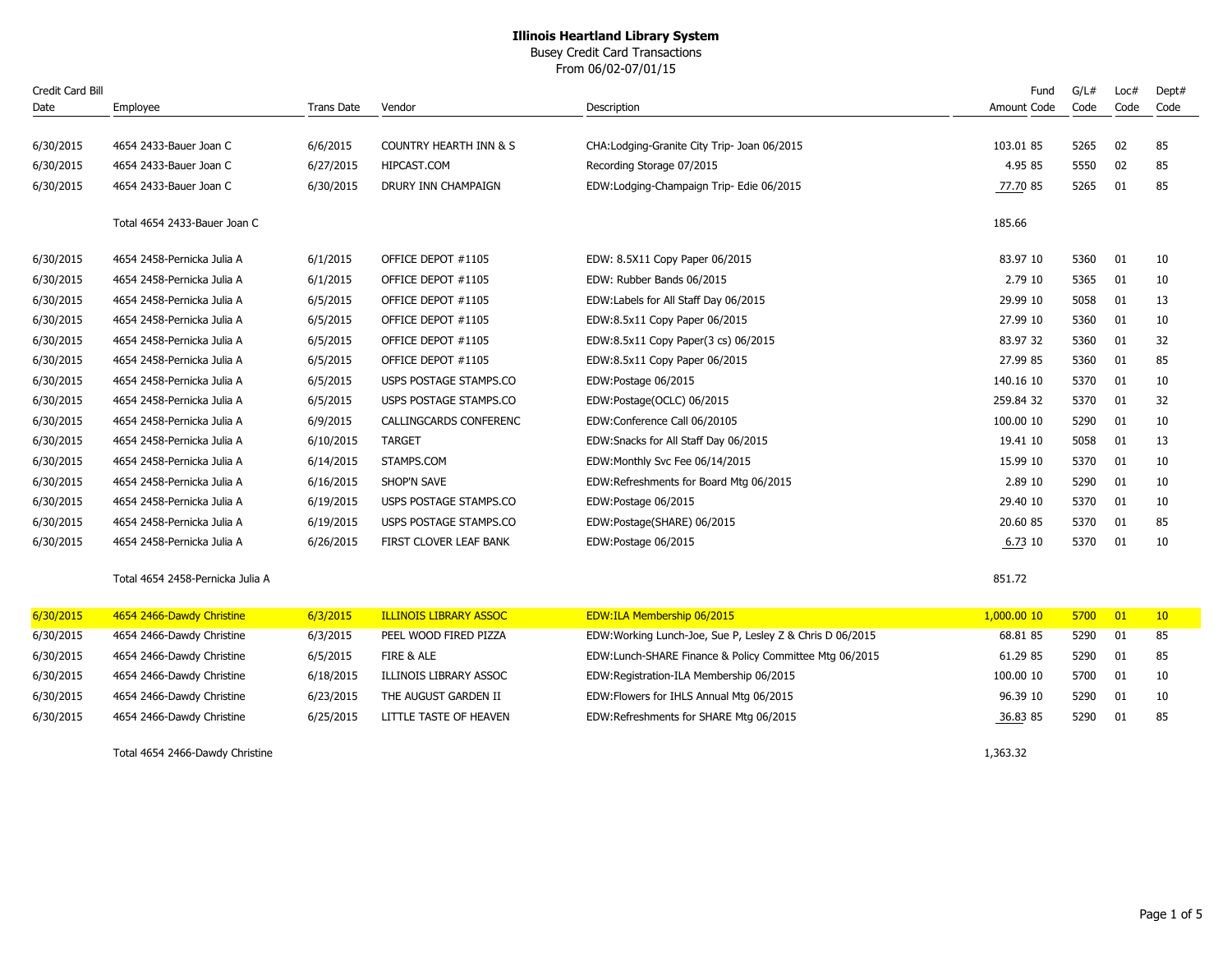Busey Credit Card Transactions

From 06/02-07/01/15

| Credit Card Bill |                                  |                   |                                   |                                                          | Fund        | G/L# | Loc# | Dept# |
|------------------|----------------------------------|-------------------|-----------------------------------|----------------------------------------------------------|-------------|------|------|-------|
| Date             | Employee                         | <b>Trans Date</b> | Vendor                            | Description                                              | Amount Code | Code | Code | Code  |
|                  |                                  |                   |                                   |                                                          |             |      |      |       |
| 6/30/2015        | 4654 2433-Bauer Joan C           | 6/6/2015          | <b>COUNTRY HEARTH INN &amp; S</b> | CHA: Lodging-Granite City Trip- Joan 06/2015             | 103.01 85   | 5265 | 02   | 85    |
| 6/30/2015        | 4654 2433-Bauer Joan C           | 6/27/2015         | HIPCAST.COM                       | Recording Storage 07/2015                                | 4.95 85     | 5550 | 02   | 85    |
| 6/30/2015        | 4654 2433-Bauer Joan C           | 6/30/2015         | DRURY INN CHAMPAIGN               | EDW:Lodging-Champaign Trip- Edie 06/2015                 | 77.70 85    | 5265 | 01   | 85    |
|                  | Total 4654 2433-Bauer Joan C     |                   |                                   |                                                          | 185.66      |      |      |       |
| 6/30/2015        | 4654 2458-Pernicka Julia A       | 6/1/2015          | OFFICE DEPOT #1105                | EDW: 8.5X11 Copy Paper 06/2015                           | 83.97 10    | 5360 | 01   | 10    |
| 6/30/2015        | 4654 2458-Pernicka Julia A       | 6/1/2015          | OFFICE DEPOT #1105                | EDW: Rubber Bands 06/2015                                | 2.79 10     | 5365 | 01   | 10    |
| 6/30/2015        | 4654 2458-Pernicka Julia A       | 6/5/2015          | OFFICE DEPOT #1105                | EDW:Labels for All Staff Day 06/2015                     | 29.99 10    | 5058 | 01   | 13    |
| 6/30/2015        | 4654 2458-Pernicka Julia A       | 6/5/2015          | OFFICE DEPOT #1105                | EDW:8.5x11 Copy Paper 06/2015                            | 27.99 10    | 5360 | 01   | 10    |
| 6/30/2015        | 4654 2458-Pernicka Julia A       | 6/5/2015          | OFFICE DEPOT #1105                | EDW:8.5x11 Copy Paper(3 cs) 06/2015                      | 83.97 32    | 5360 | 01   | 32    |
| 6/30/2015        | 4654 2458-Pernicka Julia A       | 6/5/2015          | OFFICE DEPOT #1105                | EDW:8.5x11 Copy Paper 06/2015                            | 27.99 85    | 5360 | 01   | 85    |
| 6/30/2015        | 4654 2458-Pernicka Julia A       | 6/5/2015          | USPS POSTAGE STAMPS.CO            | EDW:Postage 06/2015                                      | 140.16 10   | 5370 | 01   | 10    |
| 6/30/2015        | 4654 2458-Pernicka Julia A       | 6/5/2015          | USPS POSTAGE STAMPS.CO            | EDW:Postage(OCLC) 06/2015                                | 259.84 32   | 5370 | 01   | 32    |
| 6/30/2015        | 4654 2458-Pernicka Julia A       | 6/9/2015          | CALLINGCARDS CONFERENC            | EDW:Conference Call 06/20105                             | 100.00 10   | 5290 | 01   | 10    |
| 6/30/2015        | 4654 2458-Pernicka Julia A       | 6/10/2015         | <b>TARGET</b>                     | EDW: Snacks for All Staff Day 06/2015                    | 19.41 10    | 5058 | 01   | 13    |
| 6/30/2015        | 4654 2458-Pernicka Julia A       | 6/14/2015         | STAMPS.COM                        | EDW:Monthly Svc Fee 06/14/2015                           | 15.99 10    | 5370 | 01   | 10    |
| 6/30/2015        | 4654 2458-Pernicka Julia A       | 6/16/2015         | SHOP'N SAVE                       | EDW:Refreshments for Board Mtg 06/2015                   | 2.89 10     | 5290 | 01   | 10    |
| 6/30/2015        | 4654 2458-Pernicka Julia A       | 6/19/2015         | USPS POSTAGE STAMPS.CO            | EDW:Postage 06/2015                                      | 29.40 10    | 5370 | 01   | 10    |
| 6/30/2015        | 4654 2458-Pernicka Julia A       | 6/19/2015         | USPS POSTAGE STAMPS.CO            | EDW:Postage(SHARE) 06/2015                               | 20.60 85    | 5370 | 01   | 85    |
| 6/30/2015        | 4654 2458-Pernicka Julia A       | 6/26/2015         | FIRST CLOVER LEAF BANK            | EDW:Postage 06/2015                                      | 6.73 10     | 5370 | 01   | 10    |
|                  | Total 4654 2458-Pernicka Julia A |                   |                                   |                                                          | 851.72      |      |      |       |
| 6/30/2015        | 4654 2466-Dawdy Christine        | 6/3/2015          | <b>ILLINOIS LIBRARY ASSOC</b>     | EDW:ILA Membership 06/2015                               | 1,000.00 10 | 5700 | 01   | 10    |
| 6/30/2015        | 4654 2466-Dawdy Christine        | 6/3/2015          | PEEL WOOD FIRED PIZZA             | EDW:Working Lunch-Joe, Sue P, Lesley Z & Chris D 06/2015 | 68.81 85    | 5290 | 01   | 85    |
| 6/30/2015        | 4654 2466-Dawdy Christine        | 6/5/2015          | FIRE & ALE                        | EDW:Lunch-SHARE Finance & Policy Committee Mtg 06/2015   | 61.29 85    | 5290 | 01   | 85    |
| 6/30/2015        | 4654 2466-Dawdy Christine        | 6/18/2015         | ILLINOIS LIBRARY ASSOC            | EDW:Registration-ILA Membership 06/2015                  | 100.00 10   | 5700 | 01   | 10    |
| 6/30/2015        | 4654 2466-Dawdy Christine        | 6/23/2015         | THE AUGUST GARDEN II              | EDW: Flowers for IHLS Annual Mtg 06/2015                 | 96.39 10    | 5290 | 01   | 10    |
| 6/30/2015        | 4654 2466-Dawdy Christine        | 6/25/2015         | LITTLE TASTE OF HEAVEN            | EDW:Refreshments for SHARE Mtg 06/2015                   | 36.83 85    | 5290 | 01   | 85    |
|                  | Total 4654 2466-Dawdy Christine  |                   |                                   |                                                          | 1,363.32    |      |      |       |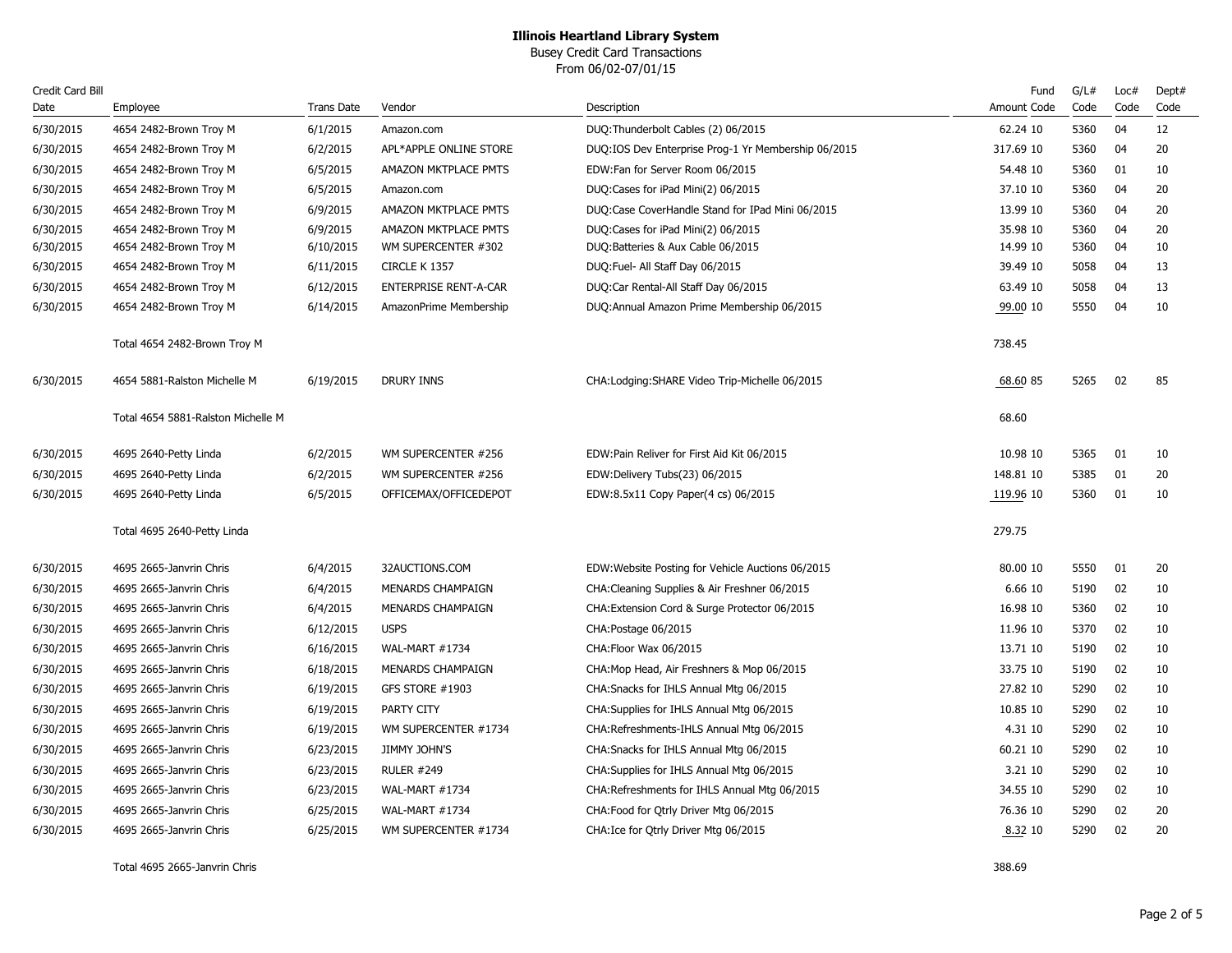Busey Credit Card Transactions From 06/02-07/01/15

| Credit Card Bill |                                    |                   |                              |                                                     | Fund        | G/L# | Loc# | Dept# |
|------------------|------------------------------------|-------------------|------------------------------|-----------------------------------------------------|-------------|------|------|-------|
| Date             | Employee                           | <b>Trans Date</b> | Vendor                       | Description                                         | Amount Code | Code | Code | Code  |
| 6/30/2015        | 4654 2482-Brown Troy M             | 6/1/2015          | Amazon.com                   | DUQ:Thunderbolt Cables (2) 06/2015                  | 62.24 10    | 5360 | 04   | 12    |
| 6/30/2015        | 4654 2482-Brown Troy M             | 6/2/2015          | APL*APPLE ONLINE STORE       | DUQ:IOS Dev Enterprise Prog-1 Yr Membership 06/2015 | 317.69 10   | 5360 | 04   | 20    |
| 6/30/2015        | 4654 2482-Brown Troy M             | 6/5/2015          | AMAZON MKTPLACE PMTS         | EDW:Fan for Server Room 06/2015                     | 54.48 10    | 5360 | 01   | 10    |
| 6/30/2015        | 4654 2482-Brown Troy M             | 6/5/2015          | Amazon.com                   | DUQ:Cases for iPad Mini(2) 06/2015                  | 37.10 10    | 5360 | 04   | 20    |
| 6/30/2015        | 4654 2482-Brown Troy M             | 6/9/2015          | AMAZON MKTPLACE PMTS         | DUQ:Case CoverHandle Stand for IPad Mini 06/2015    | 13.99 10    | 5360 | 04   | 20    |
| 6/30/2015        | 4654 2482-Brown Troy M             | 6/9/2015          | AMAZON MKTPLACE PMTS         | DUQ:Cases for iPad Mini(2) 06/2015                  | 35.98 10    | 5360 | 04   | 20    |
| 6/30/2015        | 4654 2482-Brown Troy M             | 6/10/2015         | WM SUPERCENTER #302          | DUQ:Batteries & Aux Cable 06/2015                   | 14.99 10    | 5360 | 04   | 10    |
| 6/30/2015        | 4654 2482-Brown Troy M             | 6/11/2015         | CIRCLE K 1357                | DUQ:Fuel- All Staff Day 06/2015                     | 39.49 10    | 5058 | 04   | 13    |
| 6/30/2015        | 4654 2482-Brown Troy M             | 6/12/2015         | <b>ENTERPRISE RENT-A-CAR</b> | DUQ:Car Rental-All Staff Day 06/2015                | 63.49 10    | 5058 | 04   | 13    |
| 6/30/2015        | 4654 2482-Brown Troy M             | 6/14/2015         | AmazonPrime Membership       | DUQ: Annual Amazon Prime Membership 06/2015         | 99.00 10    | 5550 | 04   | 10    |
|                  | Total 4654 2482-Brown Troy M       |                   |                              |                                                     | 738.45      |      |      |       |
| 6/30/2015        | 4654 5881-Ralston Michelle M       | 6/19/2015         | <b>DRURY INNS</b>            | CHA:Lodging:SHARE Video Trip-Michelle 06/2015       | 68.60 85    | 5265 | 02   | 85    |
|                  | Total 4654 5881-Ralston Michelle M |                   |                              |                                                     | 68.60       |      |      |       |
| 6/30/2015        | 4695 2640-Petty Linda              | 6/2/2015          | WM SUPERCENTER #256          | EDW:Pain Reliver for First Aid Kit 06/2015          | 10.98 10    | 5365 | 01   | 10    |
| 6/30/2015        | 4695 2640-Petty Linda              | 6/2/2015          | WM SUPERCENTER #256          | EDW:Delivery Tubs(23) 06/2015                       | 148.81 10   | 5385 | 01   | 20    |
| 6/30/2015        | 4695 2640-Petty Linda              | 6/5/2015          | OFFICEMAX/OFFICEDEPOT        | EDW:8.5x11 Copy Paper(4 cs) 06/2015                 | 119.96 10   | 5360 | 01   | 10    |
|                  | Total 4695 2640-Petty Linda        |                   |                              |                                                     | 279.75      |      |      |       |
| 6/30/2015        | 4695 2665-Janvrin Chris            | 6/4/2015          | 32AUCTIONS.COM               | EDW: Website Posting for Vehicle Auctions 06/2015   | 80.00 10    | 5550 | 01   | 20    |
| 6/30/2015        | 4695 2665-Janvrin Chris            | 6/4/2015          | <b>MENARDS CHAMPAIGN</b>     | CHA: Cleaning Supplies & Air Freshner 06/2015       | 6.66 10     | 5190 | 02   | 10    |
| 6/30/2015        | 4695 2665-Janvrin Chris            | 6/4/2015          | <b>MENARDS CHAMPAIGN</b>     | CHA: Extension Cord & Surge Protector 06/2015       | 16.98 10    | 5360 | 02   | 10    |
| 6/30/2015        | 4695 2665-Janvrin Chris            | 6/12/2015         | <b>USPS</b>                  | CHA: Postage 06/2015                                | 11.96 10    | 5370 | 02   | 10    |
| 6/30/2015        | 4695 2665-Janvrin Chris            | 6/16/2015         | WAL-MART #1734               | CHA: Floor Wax 06/2015                              | 13.71 10    | 5190 | 02   | 10    |
| 6/30/2015        | 4695 2665-Janvrin Chris            | 6/18/2015         | <b>MENARDS CHAMPAIGN</b>     | CHA: Mop Head, Air Freshners & Mop 06/2015          | 33.75 10    | 5190 | 02   | 10    |
| 6/30/2015        | 4695 2665-Janvrin Chris            | 6/19/2015         | GFS STORE #1903              | CHA: Snacks for IHLS Annual Mtg 06/2015             | 27.82 10    | 5290 | 02   | 10    |
| 6/30/2015        | 4695 2665-Janvrin Chris            | 6/19/2015         | PARTY CITY                   | CHA: Supplies for IHLS Annual Mtg 06/2015           | 10.85 10    | 5290 | 02   | 10    |
| 6/30/2015        | 4695 2665-Janvrin Chris            | 6/19/2015         | WM SUPERCENTER #1734         | CHA: Refreshments-IHLS Annual Mtg 06/2015           | 4.31 10     | 5290 | 02   | 10    |
| 6/30/2015        | 4695 2665-Janvrin Chris            | 6/23/2015         | <b>JIMMY JOHN'S</b>          | CHA: Snacks for IHLS Annual Mtg 06/2015             | 60.21 10    | 5290 | 02   | 10    |
| 6/30/2015        | 4695 2665-Janvrin Chris            | 6/23/2015         | <b>RULER #249</b>            | CHA: Supplies for IHLS Annual Mtg 06/2015           | 3.21 10     | 5290 | 02   | 10    |
| 6/30/2015        | 4695 2665-Janvrin Chris            | 6/23/2015         | WAL-MART #1734               | CHA:Refreshments for IHLS Annual Mtg 06/2015        | 34.55 10    | 5290 | 02   | 10    |
| 6/30/2015        | 4695 2665-Janvrin Chris            | 6/25/2015         | WAL-MART #1734               | CHA: Food for Qtrly Driver Mtg 06/2015              | 76.36 10    | 5290 | 02   | 20    |
| 6/30/2015        | 4695 2665-Janvrin Chris            | 6/25/2015         | WM SUPERCENTER #1734         | CHA: Ice for Qtrly Driver Mtg 06/2015               | 8.32 10     | 5290 | 02   | 20    |
|                  |                                    |                   |                              |                                                     |             |      |      |       |

Total 4695 2665-Janvrin Chris 388.69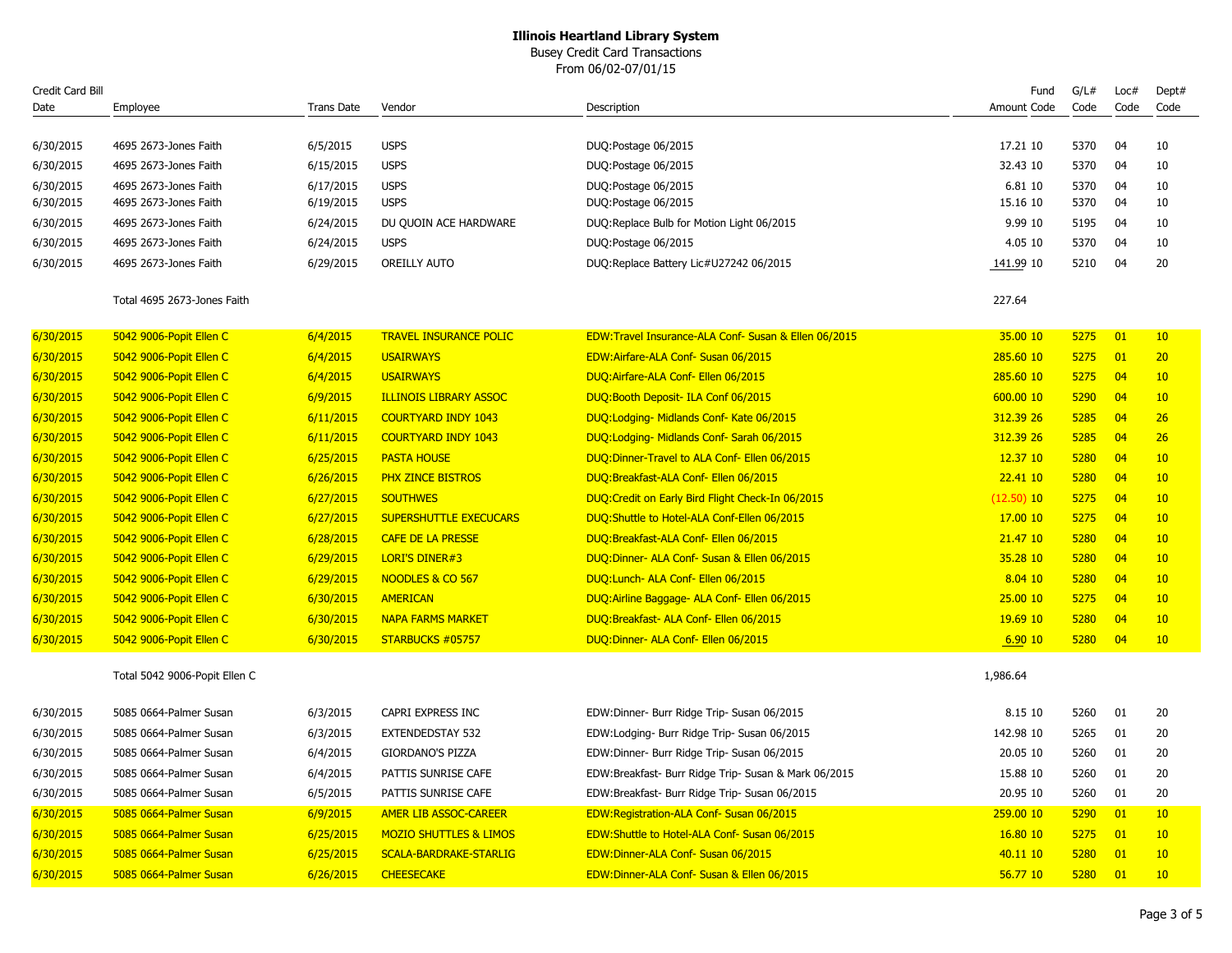Busey Credit Card Transactions

From 06/02-07/01/15

| Credit Card Bill |                               |                   |                                   |                                                      | Fund         | G/L# | Loc# | Dept# |
|------------------|-------------------------------|-------------------|-----------------------------------|------------------------------------------------------|--------------|------|------|-------|
| Date             | Employee                      | <b>Trans Date</b> | Vendor                            | Description                                          | Amount Code  | Code | Code | Code  |
|                  |                               |                   |                                   |                                                      |              |      |      |       |
| 6/30/2015        | 4695 2673-Jones Faith         | 6/5/2015          | <b>USPS</b>                       | DUQ:Postage 06/2015                                  | 17.21 10     | 5370 | 04   | 10    |
| 6/30/2015        | 4695 2673-Jones Faith         | 6/15/2015         | <b>USPS</b>                       | DUQ:Postage 06/2015                                  | 32.43 10     | 5370 | 04   | 10    |
| 6/30/2015        | 4695 2673-Jones Faith         | 6/17/2015         | <b>USPS</b>                       | DUQ:Postage 06/2015                                  | 6.81 10      | 5370 | 04   | 10    |
| 6/30/2015        | 4695 2673-Jones Faith         | 6/19/2015         | <b>USPS</b>                       | DUQ:Postage 06/2015                                  | 15.16 10     | 5370 | 04   | 10    |
| 6/30/2015        | 4695 2673-Jones Faith         | 6/24/2015         | DU QUOIN ACE HARDWARE             | DUQ:Replace Bulb for Motion Light 06/2015            | 9.99 10      | 5195 | 04   | 10    |
| 6/30/2015        | 4695 2673-Jones Faith         | 6/24/2015         | <b>USPS</b>                       | DUQ:Postage 06/2015                                  | 4.05 10      | 5370 | 04   | 10    |
| 6/30/2015        | 4695 2673-Jones Faith         | 6/29/2015         | <b>OREILLY AUTO</b>               | DUQ:Replace Battery Lic#U27242 06/2015               | 141.99 10    | 5210 | 04   | 20    |
|                  | Total 4695 2673-Jones Faith   |                   |                                   |                                                      | 227.64       |      |      |       |
| 6/30/2015        | 5042 9006-Popit Ellen C       | 6/4/2015          | <b>TRAVEL INSURANCE POLIC</b>     | EDW:Travel Insurance-ALA Conf- Susan & Ellen 06/2015 | 35.00 10     | 5275 | 01   | 10    |
| 6/30/2015        | 5042 9006-Popit Ellen C       | 6/4/2015          | <b>USAIRWAYS</b>                  | EDW:Airfare-ALA Conf- Susan 06/2015                  | 285.60 10    | 5275 | 01   | 20    |
| 6/30/2015        | 5042 9006-Popit Ellen C       | 6/4/2015          | <b>USAIRWAYS</b>                  | DUQ:Airfare-ALA Conf- Ellen 06/2015                  | 285.60 10    | 5275 | 04   | 10    |
| 6/30/2015        | 5042 9006-Popit Ellen C       | 6/9/2015          | <b>ILLINOIS LIBRARY ASSOC</b>     | DUQ:Booth Deposit- ILA Conf 06/2015                  | 600.00 10    | 5290 | 04   | 10    |
| 6/30/2015        | 5042 9006-Popit Ellen C       | 6/11/2015         | <b>COURTYARD INDY 1043</b>        | DUQ:Lodging- Midlands Conf- Kate 06/2015             | 312.39 26    | 5285 | 04   | 26    |
| 6/30/2015        | 5042 9006-Popit Ellen C       | 6/11/2015         | <b>COURTYARD INDY 1043</b>        | DUQ:Lodging- Midlands Conf- Sarah 06/2015            | 312.39 26    | 5285 | 04   | 26    |
| 6/30/2015        | 5042 9006-Popit Ellen C       | 6/25/2015         | <b>PASTA HOUSE</b>                | DUQ:Dinner-Travel to ALA Conf- Ellen 06/2015         | 12.37 10     | 5280 | 04   | 10    |
| 6/30/2015        | 5042 9006-Popit Ellen C       | 6/26/2015         | <b>PHX ZINCE BISTROS</b>          | DUQ:Breakfast-ALA Conf- Ellen 06/2015                | 22.41 10     | 5280 | 04   | 10    |
| 6/30/2015        | 5042 9006-Popit Ellen C       | 6/27/2015         | <b>SOUTHWES</b>                   | DUQ:Credit on Early Bird Flight Check-In 06/2015     | $(12.50)$ 10 | 5275 | 04   | 10    |
| 6/30/2015        | 5042 9006-Popit Ellen C       | 6/27/2015         | SUPERSHUTTLE EXECUCARS            | DUQ:Shuttle to Hotel-ALA Conf-Ellen 06/2015          | 17.00 10     | 5275 | 04   | 10    |
| 6/30/2015        | 5042 9006-Popit Ellen C       | 6/28/2015         | <b>CAFE DE LA PRESSE</b>          | DUQ:Breakfast-ALA Conf- Ellen 06/2015                | 21.47 10     | 5280 | 04   | 10    |
| 6/30/2015        | 5042 9006-Popit Ellen C       | 6/29/2015         | <b>LORI'S DINER#3</b>             | DUQ:Dinner- ALA Conf- Susan & Ellen 06/2015          | 35.28 10     | 5280 | 04   | 10    |
| 6/30/2015        | 5042 9006-Popit Ellen C       | 6/29/2015         | NOODLES & CO 567                  | DUQ:Lunch- ALA Conf- Ellen 06/2015                   | 8.04 10      | 5280 | 04   | 10    |
| 6/30/2015        | 5042 9006-Popit Ellen C       | 6/30/2015         | <b>AMERICAN</b>                   | DUQ: Airline Baggage- ALA Conf- Ellen 06/2015        | 25.00 10     | 5275 | 04   | 10    |
| 6/30/2015        | 5042 9006-Popit Ellen C       | 6/30/2015         | <b>NAPA FARMS MARKET</b>          | DUQ:Breakfast- ALA Conf- Ellen 06/2015               | 19.69 10     | 5280 | 04   | 10    |
| 6/30/2015        | 5042 9006-Popit Ellen C       | 6/30/2015         | STARBUCKS #05757                  | DUQ:Dinner- ALA Conf- Ellen 06/2015                  | 6.9010       | 5280 | 04   | 10    |
|                  | Total 5042 9006-Popit Ellen C |                   |                                   |                                                      | 1,986.64     |      |      |       |
| 6/30/2015        | 5085 0664-Palmer Susan        | 6/3/2015          | CAPRI EXPRESS INC                 | EDW:Dinner- Burr Ridge Trip- Susan 06/2015           | 8.15 10      | 5260 | 01   | 20    |
| 6/30/2015        | 5085 0664-Palmer Susan        | 6/3/2015          | <b>EXTENDEDSTAY 532</b>           | EDW:Lodging- Burr Ridge Trip- Susan 06/2015          | 142.98 10    | 5265 | 01   | 20    |
| 6/30/2015        | 5085 0664-Palmer Susan        | 6/4/2015          | <b>GIORDANO'S PIZZA</b>           | EDW:Dinner- Burr Ridge Trip- Susan 06/2015           | 20.05 10     | 5260 | 01   | 20    |
| 6/30/2015        | 5085 0664-Palmer Susan        | 6/4/2015          | PATTIS SUNRISE CAFE               | EDW:Breakfast- Burr Ridge Trip- Susan & Mark 06/2015 | 15.88 10     | 5260 | 01   | 20    |
| 6/30/2015        | 5085 0664-Palmer Susan        | 6/5/2015          | PATTIS SUNRISE CAFE               | EDW:Breakfast- Burr Ridge Trip- Susan 06/2015        | 20.95 10     | 5260 | 01   | 20    |
| 6/30/2015        | 5085 0664-Palmer Susan        | 6/9/2015          | <b>AMER LIB ASSOC-CAREER</b>      | EDW:Registration-ALA Conf- Susan 06/2015             | 259.00 10    | 5290 | 01   | 10    |
| 6/30/2015        | 5085 0664-Palmer Susan        | 6/25/2015         | <b>MOZIO SHUTTLES &amp; LIMOS</b> | EDW:Shuttle to Hotel-ALA Conf- Susan 06/2015         | 16.80 10     | 5275 | 01   | 10    |
| 6/30/2015        | 5085 0664-Palmer Susan        | 6/25/2015         | <b>SCALA-BARDRAKE-STARLIG</b>     | EDW:Dinner-ALA Conf- Susan 06/2015                   | 40.11 10     | 5280 | 01   | 10    |
| 6/30/2015        | 5085 0664-Palmer Susan        | 6/26/2015         | <b>CHEESECAKE</b>                 | EDW:Dinner-ALA Conf- Susan & Ellen 06/2015           | 56.77 10     | 5280 | 01   | 10    |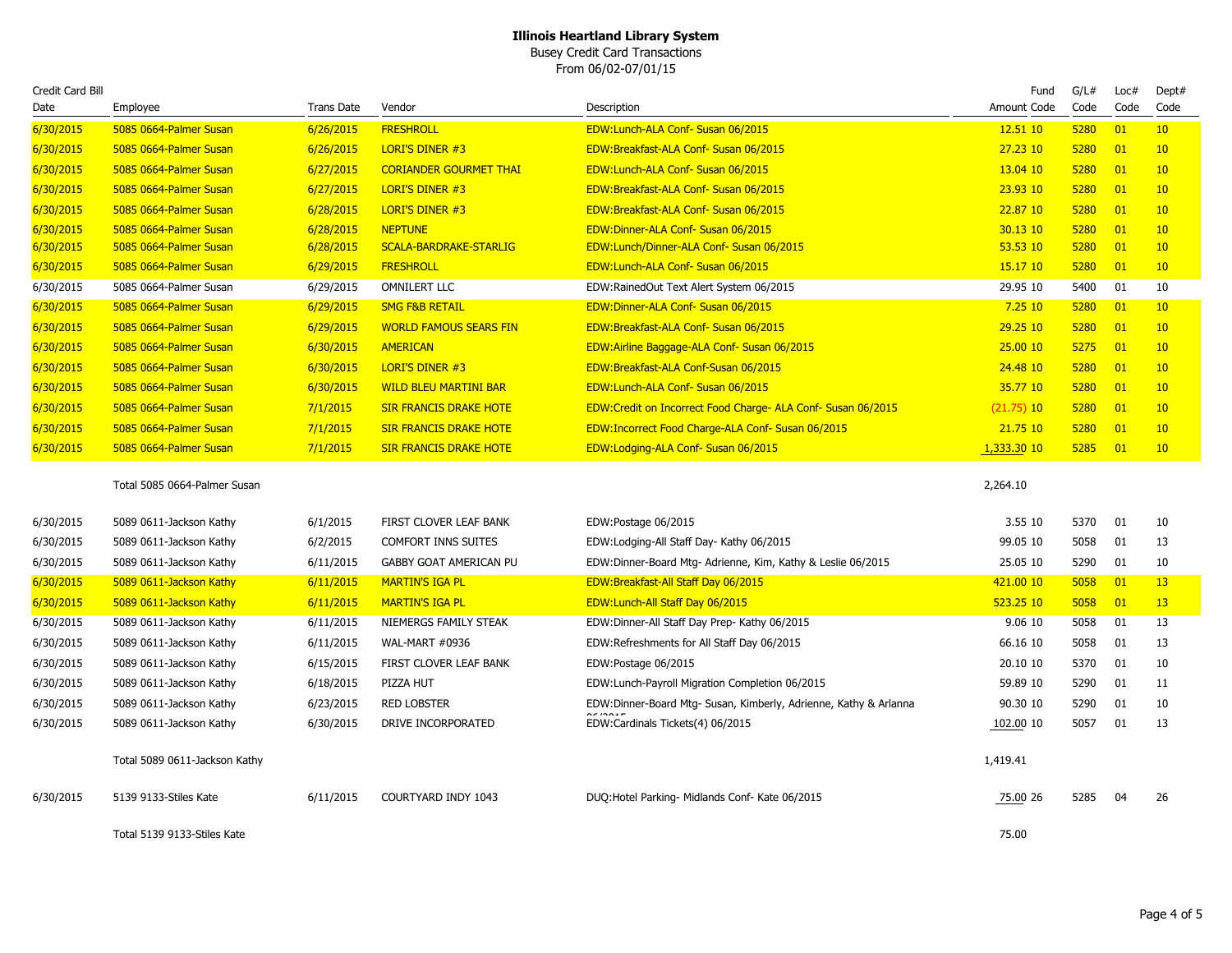Busey Credit Card Transactions From 06/02-07/01/15

| Credit Card Bill |                               |                   |                               |                                                                  | Fund         | G/L# | Loc#            | Dept#           |
|------------------|-------------------------------|-------------------|-------------------------------|------------------------------------------------------------------|--------------|------|-----------------|-----------------|
| Date             | Employee                      | <b>Trans Date</b> | Vendor                        | Description                                                      | Amount Code  | Code | Code            | Code            |
| 6/30/2015        | 5085 0664-Palmer Susan        | 6/26/2015         | <b>FRESHROLL</b>              | EDW:Lunch-ALA Conf- Susan 06/2015                                | 12.51 10     | 5280 | 01              | 10              |
| 6/30/2015        | 5085 0664-Palmer Susan        | 6/26/2015         | <b>LORI'S DINER #3</b>        | EDW:Breakfast-ALA Conf- Susan 06/2015                            | 27.23 10     | 5280 | 01              | 10              |
| 6/30/2015        | 5085 0664-Palmer Susan        | 6/27/2015         | <b>CORIANDER GOURMET THAI</b> | EDW:Lunch-ALA Conf- Susan 06/2015                                | 13.04 10     | 5280 | 01              | 10              |
| 6/30/2015        | 5085 0664-Palmer Susan        | 6/27/2015         | <b>LORI'S DINER #3</b>        | EDW:Breakfast-ALA Conf- Susan 06/2015                            | 23.93 10     | 5280 | 01              | 10              |
| 6/30/2015        | 5085 0664-Palmer Susan        | 6/28/2015         | LORI'S DINER #3               | EDW:Breakfast-ALA Conf- Susan 06/2015                            | 22.87 10     | 5280 | 01              | 10              |
| 6/30/2015        | 5085 0664-Palmer Susan        | 6/28/2015         | <b>NEPTUNE</b>                | EDW:Dinner-ALA Conf- Susan 06/2015                               | 30.13 10     | 5280 | 01              | 10              |
| 6/30/2015        | 5085 0664-Palmer Susan        | 6/28/2015         | SCALA-BARDRAKE-STARLIG        | EDW:Lunch/Dinner-ALA Conf- Susan 06/2015                         | 53.53 10     | 5280 | 01              | 10              |
| 6/30/2015        | 5085 0664-Palmer Susan        | 6/29/2015         | <b>FRESHROLL</b>              | EDW:Lunch-ALA Conf- Susan 06/2015                                | 15.17 10     | 5280 | 01              | 10              |
| 6/30/2015        | 5085 0664-Palmer Susan        | 6/29/2015         | <b>OMNILERT LLC</b>           | EDW:RainedOut Text Alert System 06/2015                          | 29.95 10     | 5400 | 01              | 10              |
| 6/30/2015        | 5085 0664-Palmer Susan        | 6/29/2015         | <b>SMG F&amp;B RETAIL</b>     | EDW:Dinner-ALA Conf- Susan 06/2015                               | 7.2510       | 5280 | $\overline{01}$ | 10 <sup>°</sup> |
| 6/30/2015        | 5085 0664-Palmer Susan        | 6/29/2015         | <b>WORLD FAMOUS SEARS FIN</b> | EDW:Breakfast-ALA Conf- Susan 06/2015                            | 29.25 10     | 5280 | 01              | 10              |
| 6/30/2015        | 5085 0664-Palmer Susan        | 6/30/2015         | <b>AMERICAN</b>               | EDW:Airline Baggage-ALA Conf- Susan 06/2015                      | 25.00 10     | 5275 | 01              | 10 <sup>°</sup> |
| 6/30/2015        | 5085 0664-Palmer Susan        | 6/30/2015         | LORI'S DINER #3               | EDW:Breakfast-ALA Conf-Susan 06/2015                             | 24.48 10     | 5280 | 01              | 10              |
| 6/30/2015        | 5085 0664-Palmer Susan        | 6/30/2015         | <b>WILD BLEU MARTINI BAR</b>  | EDW:Lunch-ALA Conf- Susan 06/2015                                | 35.77 10     | 5280 | 01              | 10 <sup>°</sup> |
| 6/30/2015        | 5085 0664-Palmer Susan        | 7/1/2015          | <b>SIR FRANCIS DRAKE HOTE</b> | EDW:Credit on Incorrect Food Charge- ALA Conf- Susan 06/2015     | $(21.75)$ 10 | 5280 | 01              | 10              |
| 6/30/2015        | 5085 0664-Palmer Susan        | 7/1/2015          | <b>SIR FRANCIS DRAKE HOTE</b> | EDW: Incorrect Food Charge-ALA Conf- Susan 06/2015               | 21.75 10     | 5280 | 01              | 10 <sup>°</sup> |
| 6/30/2015        | 5085 0664-Palmer Susan        | 7/1/2015          | <b>SIR FRANCIS DRAKE HOTE</b> | EDW:Lodging-ALA Conf- Susan 06/2015                              | 1,333.30 10  | 5285 | 01              | 10              |
|                  | Total 5085 0664-Palmer Susan  |                   |                               |                                                                  | 2,264.10     |      |                 |                 |
| 6/30/2015        | 5089 0611-Jackson Kathy       | 6/1/2015          | FIRST CLOVER LEAF BANK        | EDW:Postage 06/2015                                              | 3.55 10      | 5370 | 01              | 10              |
| 6/30/2015        | 5089 0611-Jackson Kathy       | 6/2/2015          | <b>COMFORT INNS SUITES</b>    | EDW:Lodging-All Staff Day- Kathy 06/2015                         | 99.05 10     | 5058 | 01              | 13              |
| 6/30/2015        | 5089 0611-Jackson Kathy       | 6/11/2015         | GABBY GOAT AMERICAN PU        | EDW:Dinner-Board Mtg- Adrienne, Kim, Kathy & Leslie 06/2015      | 25.05 10     | 5290 | 01              | 10              |
| 6/30/2015        | 5089 0611-Jackson Kathy       | 6/11/2015         | <b>MARTIN'S IGA PL</b>        | EDW:Breakfast-All Staff Day 06/2015                              | 421.00 10    | 5058 | 01              | 13              |
| 6/30/2015        | 5089 0611-Jackson Kathy       | 6/11/2015         | <b>MARTIN'S IGA PL</b>        | EDW:Lunch-All Staff Day 06/2015                                  | 523.25 10    | 5058 | 01              | 13              |
| 6/30/2015        | 5089 0611-Jackson Kathy       | 6/11/2015         | NIEMERGS FAMILY STEAK         | EDW:Dinner-All Staff Day Prep- Kathy 06/2015                     | 9.06 10      | 5058 | 01              | 13              |
| 6/30/2015        | 5089 0611-Jackson Kathy       | 6/11/2015         | WAL-MART #0936                | EDW:Refreshments for All Staff Day 06/2015                       | 66.16 10     | 5058 | 01              | 13              |
| 6/30/2015        | 5089 0611-Jackson Kathy       | 6/15/2015         | FIRST CLOVER LEAF BANK        | EDW:Postage 06/2015                                              | 20.10 10     | 5370 | 01              | 10              |
| 6/30/2015        | 5089 0611-Jackson Kathy       | 6/18/2015         | PIZZA HUT                     | EDW:Lunch-Payroll Migration Completion 06/2015                   | 59.89 10     | 5290 | 01              | 11              |
| 6/30/2015        | 5089 0611-Jackson Kathy       | 6/23/2015         | <b>RED LOBSTER</b>            | EDW:Dinner-Board Mtg- Susan, Kimberly, Adrienne, Kathy & Arlanna | 90.30 10     | 5290 | 01              | 10              |
| 6/30/2015        | 5089 0611-Jackson Kathy       | 6/30/2015         | DRIVE INCORPORATED            | EDW:Cardinals Tickets(4) 06/2015                                 | 102.00 10    | 5057 | 01              | 13              |
|                  | Total 5089 0611-Jackson Kathy |                   |                               |                                                                  | 1,419.41     |      |                 |                 |
| 6/30/2015        | 5139 9133-Stiles Kate         | 6/11/2015         | COURTYARD INDY 1043           | DUQ: Hotel Parking- Midlands Conf- Kate 06/2015                  | 75.00 26     | 5285 | 04              | 26              |
|                  | Total 5139 9133-Stiles Kate   |                   |                               |                                                                  | 75.00        |      |                 |                 |